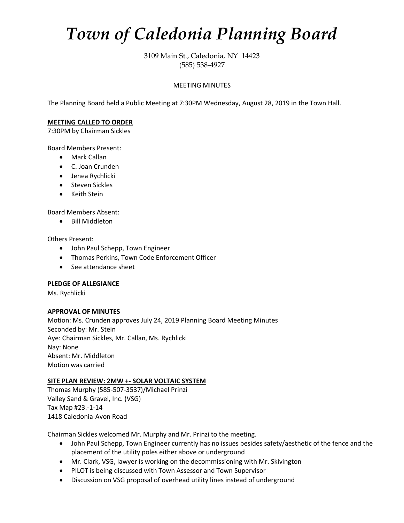# *Town of Caledonia Planning Board*

3109 Main St., Caledonia, NY 14423 (585) 538-4927

#### MEETING MINUTES

The Planning Board held a Public Meeting at 7:30PM Wednesday, August 28, 2019 in the Town Hall.

#### **MEETING CALLED TO ORDER**

7:30PM by Chairman Sickles

Board Members Present:

- Mark Callan
- C. Joan Crunden
- Jenea Rychlicki
- Steven Sickles
- Keith Stein

Board Members Absent:

• Bill Middleton

Others Present:

- John Paul Schepp, Town Engineer
- Thomas Perkins, Town Code Enforcement Officer
- See attendance sheet

#### **PLEDGE OF ALLEGIANCE**

Ms. Rychlicki

#### **APPROVAL OF MINUTES**

Motion: Ms. Crunden approves July 24, 2019 Planning Board Meeting Minutes Seconded by: Mr. Stein Aye: Chairman Sickles, Mr. Callan, Ms. Rychlicki Nay: None Absent: Mr. Middleton Motion was carried

#### **SITE PLAN REVIEW: 2MW +- SOLAR VOLTAIC SYSTEM**

Thomas Murphy (585-507-3537)/Michael Prinzi Valley Sand & Gravel, Inc. (VSG) Tax Map #23.-1-14 1418 Caledonia-Avon Road

Chairman Sickles welcomed Mr. Murphy and Mr. Prinzi to the meeting.

- John Paul Schepp, Town Engineer currently has no issues besides safety/aesthetic of the fence and the placement of the utility poles either above or underground
- Mr. Clark, VSG, lawyer is working on the decommissioning with Mr. Skivington
- PILOT is being discussed with Town Assessor and Town Supervisor
- Discussion on VSG proposal of overhead utility lines instead of underground